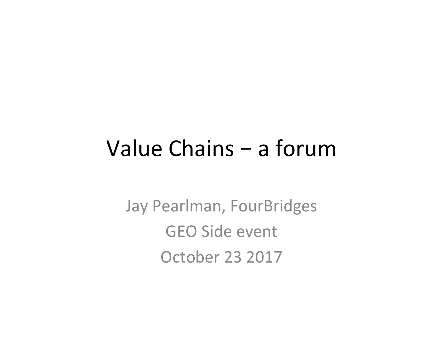## Value Chains – a forum

Jay Pearlman, FourBridges GEO Side event October 23 2017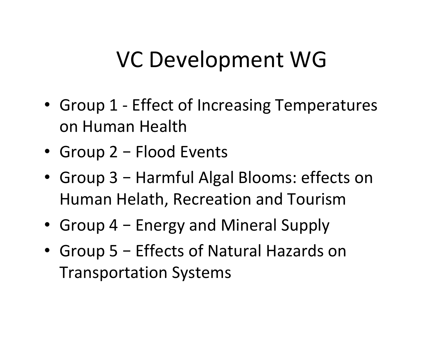## VC Development WG

- Group 1 Effect of Increasing Temperatures on Human Health
- Group 2 Flood Events
- Group 3 Harmful Algal Blooms: effects on Human Helath, Recreation and Tourism
- Group  $4$  Energy and Mineral Supply
- Group 5 Effects of Natural Hazards on Transportation Systems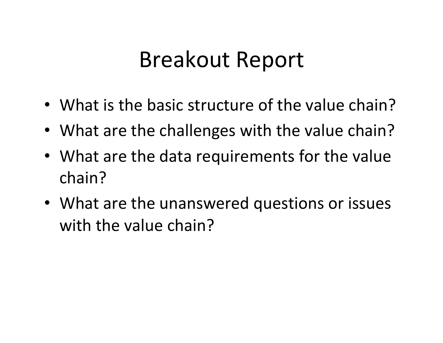## Breakout Report

- What is the basic structure of the value chain?
- What are the challenges with the value chain?
- What are the data requirements for the value chain?
- What are the unanswered questions or issues with the value chain?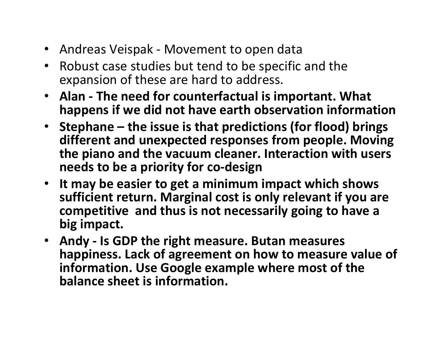- Andreas Veispak Movement to open data
- Robust case studies but tend to be specific and the expansion of these are hard to address.
- Alan The need for counterfactual is important. What happens if we did not have earth observation information
- Stephane the issue is that predictions (for flood) brings different and unexpected responses from people. Moving the piano and the vacuum cleaner. Interaction with users **needs to be a priority for co-design**
- It may be easier to get a minimum impact which shows sufficient return. Marginal cost is only relevant if you are competitive and thus is not necessarily going to have a big impact.
- Andy Is GDP the right measure. Butan measures happiness. Lack of agreement on how to measure value of information. Use Google example where most of the **balance sheet is information.**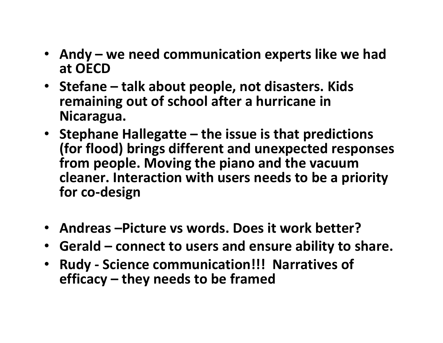- Andy we need communication experts like we had **at OECD**
- Stefane talk about people, not disasters. Kids remaining out of school after a hurricane in **Nicaragua.**
- Stephane Hallegatte the issue is that predictions **(for flood) brings different and unexpected responses** from people. Moving the piano and the vacuum cleaner. Interaction with users needs to be a priority **for co-design**
- Andreas Picture vs words. Does it work better?
- Gerald connect to users and ensure ability to share.
- **Rudy Science communication!!! Narratives of efficacy** – they needs to be framed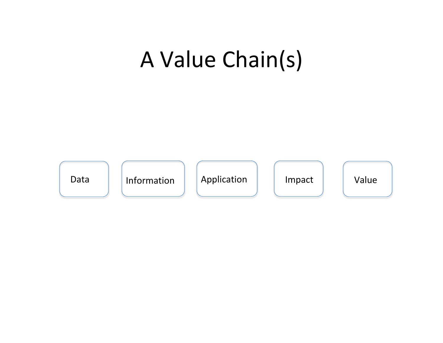## A Value Chain(s)

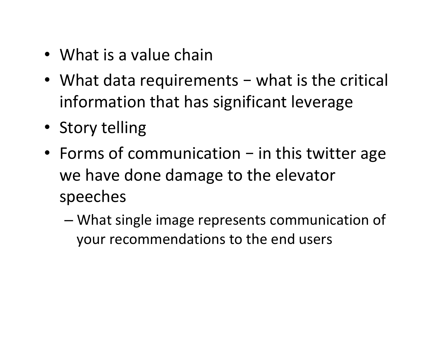- What is a value chain
- What data requirements what is the critical information that has significant leverage
- Story telling
- Forms of communication  $-$  in this twitter age we have done damage to the elevator speeches
	- What single image represents communication of your recommendations to the end users